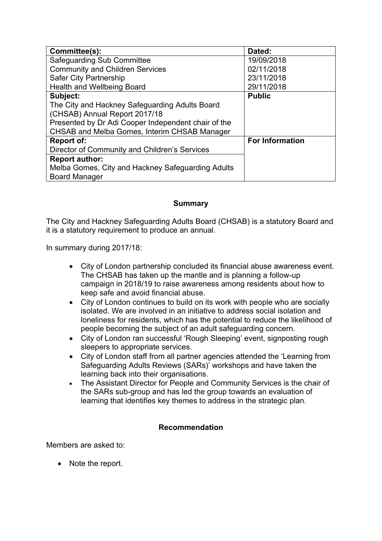| Committee(s):                                       | Dated:                 |
|-----------------------------------------------------|------------------------|
| <b>Safeguarding Sub Committee</b>                   | 19/09/2018             |
| <b>Community and Children Services</b>              | 02/11/2018             |
| Safer City Partnership                              | 23/11/2018             |
| <b>Health and Wellbeing Board</b>                   | 29/11/2018             |
| Subject:                                            | <b>Public</b>          |
| The City and Hackney Safeguarding Adults Board      |                        |
| (CHSAB) Annual Report 2017/18                       |                        |
| Presented by Dr Adi Cooper Independent chair of the |                        |
| CHSAB and Melba Gomes, Interim CHSAB Manager        |                        |
| Report of:                                          | <b>For Information</b> |
| Director of Community and Children's Services       |                        |
| <b>Report author:</b>                               |                        |
| Melba Gomes, City and Hackney Safeguarding Adults   |                        |
| <b>Board Manager</b>                                |                        |

## **Summary**

The City and Hackney Safeguarding Adults Board (CHSAB) is a statutory Board and it is a statutory requirement to produce an annual.

In summary during 2017/18:

- City of London partnership concluded its financial abuse awareness event. The CHSAB has taken up the mantle and is planning a follow-up campaign in 2018/19 to raise awareness among residents about how to keep safe and avoid financial abuse.
- City of London continues to build on its work with people who are socially isolated. We are involved in an initiative to address social isolation and loneliness for residents, which has the potential to reduce the likelihood of people becoming the subject of an adult safeguarding concern.
- City of London ran successful 'Rough Sleeping' event, signposting rough sleepers to appropriate services.
- City of London staff from all partner agencies attended the 'Learning from Safeguarding Adults Reviews (SARs)' workshops and have taken the learning back into their organisations.
- The Assistant Director for People and Community Services is the chair of the SARs sub-group and has led the group towards an evaluation of learning that identifies key themes to address in the strategic plan.

## **Recommendation**

Members are asked to:

• Note the report.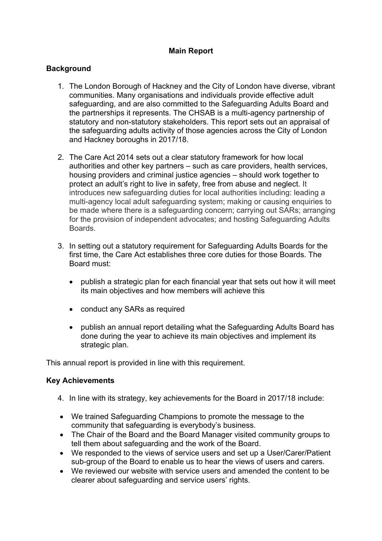## **Main Report**

## **Background**

- 1. The London Borough of Hackney and the City of London have diverse, vibrant communities. Many organisations and individuals provide effective adult safeguarding, and are also committed to the Safeguarding Adults Board and the partnerships it represents. The CHSAB is a multi-agency partnership of statutory and non-statutory stakeholders. This report sets out an appraisal of the safeguarding adults activity of those agencies across the City of London and Hackney boroughs in 2017/18.
- 2. The Care Act 2014 sets out a clear statutory framework for how local authorities and other key partners – such as care providers, health services, housing providers and criminal justice agencies – should work together to protect an adult's right to live in safety, free from abuse and neglect. It introduces new safeguarding duties for local authorities including: leading a multi-agency local adult safeguarding system; making or causing enquiries to be made where there is a safeguarding concern; carrying out SARs; arranging for the provision of independent advocates; and hosting Safeguarding Adults **Boards**
- 3. In setting out a statutory requirement for Safeguarding Adults Boards for the first time, the Care Act establishes three core duties for those Boards. The Board must:
	- publish a strategic plan for each financial year that sets out how it will meet its main objectives and how members will achieve this
	- conduct any SARs as required
	- publish an annual report detailing what the Safeguarding Adults Board has done during the year to achieve its main objectives and implement its strategic plan.

This annual report is provided in line with this requirement.

### **Key Achievements**

- 4. In line with its strategy, key achievements for the Board in 2017/18 include:
- We trained Safeguarding Champions to promote the message to the community that safeguarding is everybody's business.
- The Chair of the Board and the Board Manager visited community groups to tell them about safeguarding and the work of the Board.
- We responded to the views of service users and set up a User/Carer/Patient sub-group of the Board to enable us to hear the views of users and carers.
- We reviewed our website with service users and amended the content to be clearer about safeguarding and service users' rights.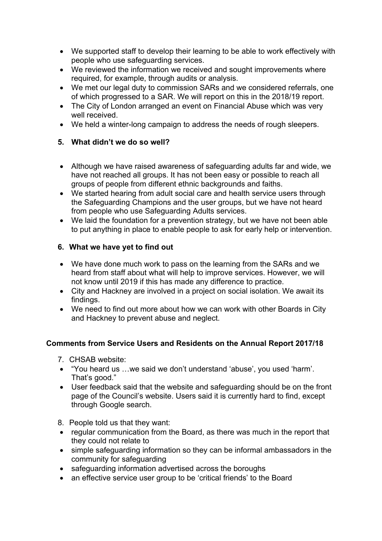- We supported staff to develop their learning to be able to work effectively with people who use safeguarding services.
- We reviewed the information we received and sought improvements where required, for example, through audits or analysis.
- We met our legal duty to commission SARs and we considered referrals, one of which progressed to a SAR. We will report on this in the 2018/19 report.
- The City of London arranged an event on Financial Abuse which was very well received.
- We held a winter-long campaign to address the needs of rough sleepers.

# **5. What didn't we do so well?**

- Although we have raised awareness of safeguarding adults far and wide, we have not reached all groups. It has not been easy or possible to reach all groups of people from different ethnic backgrounds and faiths.
- We started hearing from adult social care and health service users through the Safeguarding Champions and the user groups, but we have not heard from people who use Safeguarding Adults services.
- We laid the foundation for a prevention strategy, but we have not been able to put anything in place to enable people to ask for early help or intervention.

# **6. What we have yet to find out**

- We have done much work to pass on the learning from the SARs and we heard from staff about what will help to improve services. However, we will not know until 2019 if this has made any difference to practice.
- City and Hackney are involved in a project on social isolation. We await its findings.
- We need to find out more about how we can work with other Boards in City and Hackney to prevent abuse and neglect.

# **Comments from Service Users and Residents on the Annual Report 2017/18**

- 7. CHSAB website:
- "You heard us …we said we don't understand 'abuse', you used 'harm'. That's good."
- User feedback said that the website and safeguarding should be on the front page of the Council's website. Users said it is currently hard to find, except through Google search.
- 8. People told us that they want:
- regular communication from the Board, as there was much in the report that they could not relate to
- simple safeguarding information so they can be informal ambassadors in the community for safeguarding
- safeguarding information advertised across the boroughs
- an effective service user group to be 'critical friends' to the Board